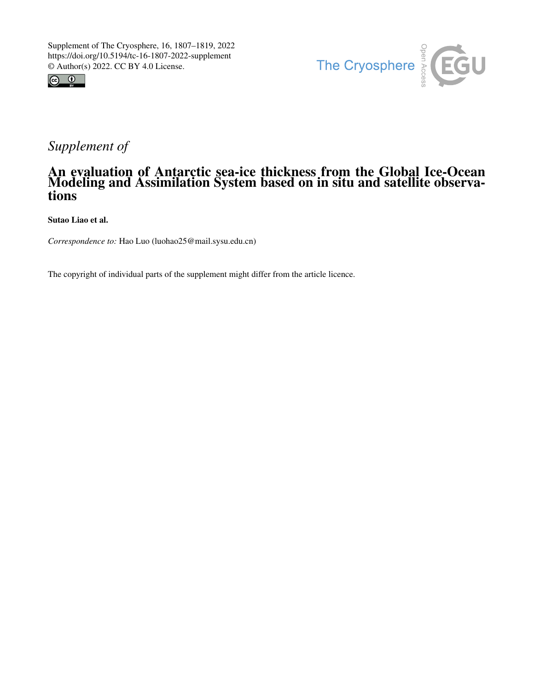



## *Supplement of*

## An evaluation of Antarctic sea-ice thickness from the Global Ice-Ocean Modeling and Assimilation System based on in situ and satellite observations

Sutao Liao et al.

*Correspondence to:* Hao Luo (luohao25@mail.sysu.edu.cn)

The copyright of individual parts of the supplement might differ from the article licence.